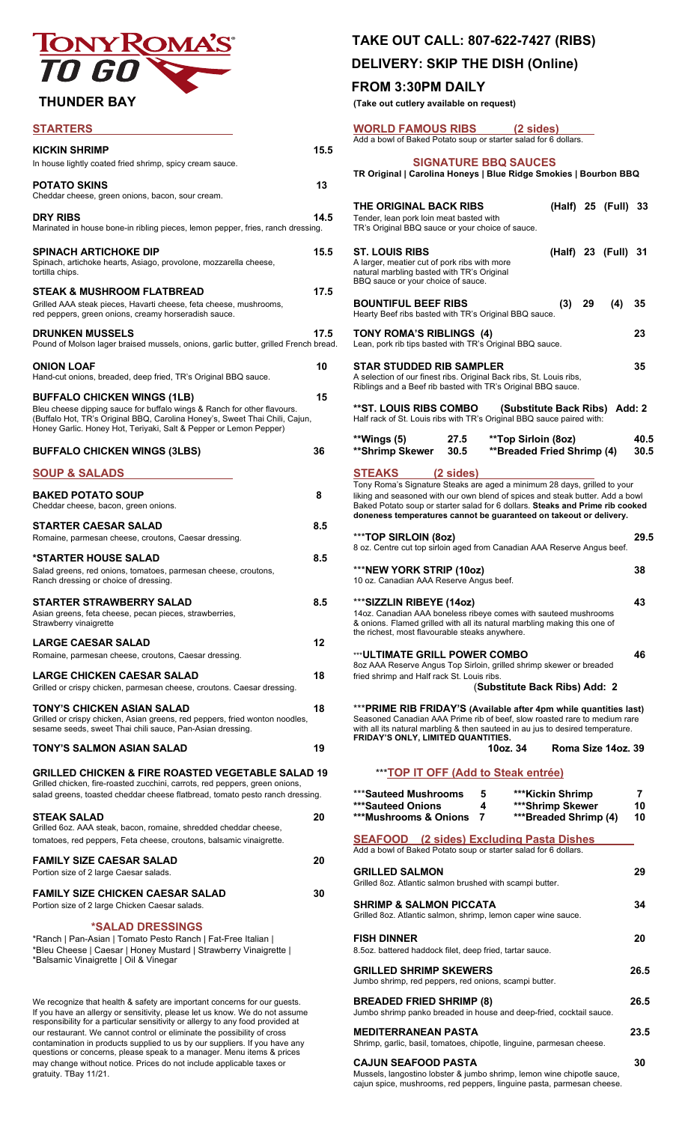# TONY ROM

# $$

|                                                                                     |      | Add a bowl of Baked Potato soup or starter salad for 6 dollars.                      |      |
|-------------------------------------------------------------------------------------|------|--------------------------------------------------------------------------------------|------|
| <b>KICKIN SHRIMP</b><br>In house lightly coated fried shrimp, spicy cream sauce.    | 15.5 | <b>SIGNATURE BBQ SAUCES</b>                                                          |      |
|                                                                                     |      | TR Original   Carolina Honeys   Blue Ridge Smokies   Bourbon BBQ                     |      |
| <b>POTATO SKINS</b><br>Cheddar cheese, green onions, bacon, sour cream.             | 13   |                                                                                      |      |
|                                                                                     |      | THE ORIGINAL BACK RIBS<br>(Half) 25 (Full) 33                                        |      |
| <b>DRY RIBS</b>                                                                     | 14.5 | Tender, lean pork loin meat basted with                                              |      |
| Marinated in house bone-in ribling pieces, lemon pepper, fries, ranch dressing.     |      | TR's Original BBQ sauce or your choice of sauce.                                     |      |
| <b>SPINACH ARTICHOKE DIP</b>                                                        | 15.5 | <b>ST. LOUIS RIBS</b>                                                                |      |
| Spinach, artichoke hearts, Asiago, provolone, mozzarella cheese,                    |      | (Half) 23 (Full) 31<br>A larger, meatier cut of pork ribs with more                  |      |
| tortilla chips.                                                                     |      | natural marbling basted with TR's Original                                           |      |
|                                                                                     |      | BBQ sauce or your choice of sauce.                                                   |      |
| <b>STEAK &amp; MUSHROOM FLATBREAD</b>                                               | 17.5 |                                                                                      |      |
| Grilled AAA steak pieces, Havarti cheese, feta cheese, mushrooms,                   |      | <b>BOUNTIFUL BEEF RIBS</b><br>29<br>(4)<br>(3)                                       | 35   |
| red peppers, green onions, creamy horseradish sauce.                                |      | Hearty Beef ribs basted with TR's Original BBQ sauce.                                |      |
|                                                                                     |      |                                                                                      |      |
| <b>DRUNKEN MUSSELS</b>                                                              | 17.5 | TONY ROMA'S RIBLINGS (4)<br>Lean, pork rib tips basted with TR's Original BBQ sauce. | 23   |
| Pound of Molson lager braised mussels, onions, garlic butter, grilled French bread. |      |                                                                                      |      |
| <b>ONION LOAF</b>                                                                   | 10   | <b>STAR STUDDED RIB SAMPLER</b>                                                      | 35   |
| Hand-cut onions, breaded, deep fried, TR's Original BBQ sauce.                      |      | A selection of our finest ribs. Original Back ribs, St. Louis ribs,                  |      |
|                                                                                     |      | Riblings and a Beef rib basted with TR's Original BBQ sauce.                         |      |
| <b>BUFFALO CHICKEN WINGS (1LB)</b>                                                  | 15   |                                                                                      |      |
| Bleu cheese dipping sauce for buffalo wings & Ranch for other flavours.             |      | <b>**ST. LOUIS RIBS COMBO</b><br>(Substitute Back Ribs) Add: 2                       |      |
| (Buffalo Hot, TR's Original BBQ, Carolina Honey's, Sweet Thai Chili, Cajun,         |      | Half rack of St. Louis ribs with TR's Original BBQ sauce paired with:                |      |
| Honey Garlic. Honey Hot, Teriyaki, Salt & Pepper or Lemon Pepper)                   |      |                                                                                      |      |
|                                                                                     |      | **Wings (5)<br>27.5<br>**Top Sirloin (8oz)                                           | 40.5 |
| <b>BUFFALO CHICKEN WINGS (3LBS)</b>                                                 | 36   | <b>**Breaded Fried Shrimp (4)</b><br>**Shrimp Skewer<br>30.5                         | 30.5 |
|                                                                                     |      |                                                                                      |      |
| <b>SOUP &amp; SALADS</b>                                                            |      | <b>STEAKS</b><br>$(2 \text{ sides})$                                                 |      |
|                                                                                     |      | Tony Roma's Signature Steaks are aged a minimum 28 days, grilled to your             |      |
| <b>BAKED POTATO SOUP</b>                                                            | 8    | liking and seasoned with our own blend of spices and steak butter. Add a bowl        |      |
| Cheddar cheese, bacon, green onions.                                                |      | Baked Potato soup or starter salad for 6 dollars. Steaks and Prime rib cooked        |      |
| <b>STARTER CAESAR SALAD</b>                                                         | 8.5  | doneness temperatures cannot be guaranteed on takeout or delivery.                   |      |
|                                                                                     |      | ***TOP SIRLOIN (8oz)                                                                 | 29.5 |
| Romaine, parmesan cheese, croutons, Caesar dressing.                                |      | 8 oz. Centre cut top sirloin aged from Canadian AAA Reserve Angus beef.              |      |
| *STARTER HOUSE SALAD                                                                | 8.5  |                                                                                      |      |
| Salad greens, red onions, tomatoes, parmesan cheese, croutons,                      |      | ***NEW YORK STRIP (10oz)                                                             | 38   |
| Ranch dressing or choice of dressing.                                               |      | 10 oz. Canadian AAA Reserve Angus beef.                                              |      |
|                                                                                     |      |                                                                                      |      |
| <b>STARTER STRAWBERRY SALAD</b>                                                     | 8.5  | ***SIZZLIN RIBEYE (14oz)                                                             | 43   |
| Asian greens, feta cheese, pecan pieces, strawberries,                              |      | 14oz. Canadian AAA boneless ribeye comes with sauteed mushrooms                      |      |
| Strawberry vinaigrette                                                              |      | & onions. Flamed grilled with all its natural marbling making this one of            |      |
|                                                                                     |      | the richest, most flavourable steaks anywhere.                                       |      |
| LARGE CAESAR SALAD                                                                  | 12   |                                                                                      |      |
| Romaine, parmesan cheese, croutons, Caesar dressing.                                |      | <b>*** ULTIMATE GRILL POWER COMBO</b>                                                | 46   |
| <b>LARGE CHICKEN CAESAR SALAD</b>                                                   | 18   | 8oz AAA Reserve Angus Top Sirloin, grilled shrimp skewer or breaded                  |      |
|                                                                                     |      | fried shrimp and Half rack St. Louis ribs.                                           |      |
| Grilled or crispy chicken, parmesan cheese, croutons. Caesar dressing.              |      | (Substitute Back Ribs) Add: 2                                                        |      |
| TONY'S CHICKEN ASIAN SALAD                                                          | 18   | *** PRIME RIB FRIDAY'S (Available after 4pm while quantities last)                   |      |
| Grilled or crispy chicken, Asian greens, red peppers, fried wonton noodles,         |      | Seasoned Canadian AAA Prime rib of beef, slow roasted rare to medium rare            |      |
| sesame seeds, sweet Thai chili sauce, Pan-Asian dressing.                           |      | with all its natural marbling & then sauteed in au jus to desired temperature.       |      |
|                                                                                     |      | <b>FRIDAY'S ONLY, LIMITED QUANTITIES.</b>                                            |      |
| TONY'S SALMON ASIAN SALAD                                                           | 19   | Roma Size 14oz. 39<br>10oz. 34                                                       |      |
|                                                                                     |      |                                                                                      |      |
| <b>GRILLED CHICKEN &amp; FIRE ROASTED VEGETABLE SALAD 19</b>                        |      | *** TOP IT OFF (Add to Steak entrée)                                                 |      |
| Grilled chicken, fire-roasted zucchini, carrots, red peppers, green onions,         |      |                                                                                      |      |
| salad greens, toasted cheddar cheese flatbread, tomato pesto ranch dressing.        |      | *** Sauteed Mushrooms<br>5<br>***Kickin Shrimp                                       | 7    |
|                                                                                     |      | <b>***Sauteed Onions</b><br>4<br>***Shrimp Skewer                                    | 10   |
| <b>STEAK SALAD</b>                                                                  | 20   | <b>***Mushrooms &amp; Onions</b><br>***Breaded Shrimp (4)<br>7                       | 10   |
| Grilled 6oz. AAA steak, bacon, romaine, shredded cheddar cheese,                    |      |                                                                                      |      |
| tomatoes, red peppers, Feta cheese, croutons, balsamic vinaigrette.                 |      | <b>SEAFOOD</b> (2 sides) Excluding Pasta Dishes                                      |      |
|                                                                                     |      | Add a bowl of Baked Potato soup or starter salad for 6 dollars.                      |      |
| <b>FAMILY SIZE CAESAR SALAD</b>                                                     | 20   |                                                                                      |      |
| Portion size of 2 large Caesar salads.                                              |      | <b>GRILLED SALMON</b><br>Grilled 8oz. Atlantic salmon brushed with scampi butter.    | 29   |
| FAMILY SIZE CHICKEN CAESAR SALAD                                                    | 30   |                                                                                      |      |
| Portion size of 2 large Chicken Caesar salads.                                      |      | <b>SHRIMP &amp; SALMON PICCATA</b>                                                   | 34   |
|                                                                                     |      | Grilled 8oz. Atlantic salmon, shrimp, lemon caper wine sauce.                        |      |
| <i><b>*SALAD DRESSINGS</b></i>                                                      |      |                                                                                      |      |
| *Ranch   Pan-Asian   Tomato Pesto Ranch   Fat-Free Italian                          |      | <b>FISH DINNER</b>                                                                   | 20   |
| *Bleu Cheese   Caesar   Honey Mustard   Strawberry Vinaigrette                      |      | 8.5oz. battered haddock filet, deep fried, tartar sauce.                             |      |
| *Balsamic Vinaigrette   Oil & Vinegar                                               |      |                                                                                      |      |

We recognize that health & safety are important concerns for our guests. If you have an allergy or sensitivity, please let us know. We do not assume Jumbo shrimp panko breaded in house and deep-fried, cocktail sauce. responsibility for a particular sensitivity or allergy to any food provided at our restaurant. We cannot control or eliminate the possibility of cross contamination in products supplied to us by our suppliers. If you have any Shrimp, garlic, basil, tomatoes, chipotle, linguine, parmesan cheese. questions or concerns, please speak to a manager. Menu items & prices may change without notice. Prices do not include applicable taxes or gratuity. TBay 11/21.

# **TAKE OUT CALL: 807-622-7427 (RIBS)**

# **DELIVERY: SKIP THE DISH (Online)**

## **FROM 3:30PM DAILY**

 **THUNDER BAY (Take out cutlery available on request)**

| <b>WORLD FAMOUS RIBS</b><br>$(2 \text{ sides})$<br>Add a bowl of Baked Potato soup or starter salad for 6 dollars.                                                                                                                                                                                                                                |               |  |  |  |  |
|---------------------------------------------------------------------------------------------------------------------------------------------------------------------------------------------------------------------------------------------------------------------------------------------------------------------------------------------------|---------------|--|--|--|--|
| <b>SIGNATURE BBQ SAUCES</b><br>TR Original   Carolina Honeys   Blue Ridge Smokies   Bourbon BBQ                                                                                                                                                                                                                                                   |               |  |  |  |  |
| (Half) 25 (Full) 33<br>THE ORIGINAL BACK RIBS<br>Tender, lean pork loin meat basted with<br>TR's Original BBQ sauce or your choice of sauce.                                                                                                                                                                                                      |               |  |  |  |  |
| (Half) 23 (Full) 31<br>ST. LOUIS RIBS<br>A larger, meatier cut of pork ribs with more<br>natural marbling basted with TR's Original<br>BBQ sauce or your choice of sauce.                                                                                                                                                                         |               |  |  |  |  |
| <b>BOUNTIFUL BEEF RIBS</b><br>$(3)$ 29<br>(4)<br>Hearty Beef ribs basted with TR's Original BBQ sauce.                                                                                                                                                                                                                                            | 35            |  |  |  |  |
| TONY ROMA'S RIBLINGS (4)<br>Lean, pork rib tips basted with TR's Original BBQ sauce.                                                                                                                                                                                                                                                              | 23            |  |  |  |  |
| STAR STUDDED RIB SAMPLER<br>A selection of our finest ribs. Original Back ribs, St. Louis ribs,<br>Riblings and a Beef rib basted with TR's Original BBQ sauce.                                                                                                                                                                                   | 35            |  |  |  |  |
| **ST. LOUIS RIBS COMBO<br>(Substitute Back Ribs) Add: 2<br>Half rack of St. Louis ribs with TR's Original BBQ sauce paired with:                                                                                                                                                                                                                  |               |  |  |  |  |
| **Wings (5)<br>**Top Sirloin (8oz)<br>27.5<br><b>**Breaded Fried Shrimp (4)</b><br>**Shrimp Skewer<br>30.5                                                                                                                                                                                                                                        | 40.5<br>30.5  |  |  |  |  |
| STEAKS<br>$(2 \text{ sides})$<br>Tony Roma's Signature Steaks are aged a minimum 28 days, grilled to your<br>liking and seasoned with our own blend of spices and steak butter. Add a bowl<br>Baked Potato soup or starter salad for 6 dollars. Steaks and Prime rib cooked<br>doneness temperatures cannot be guaranteed on takeout or delivery. |               |  |  |  |  |
| ***TOP SIRLOIN (8oz)<br>8 oz. Centre cut top sirloin aged from Canadian AAA Reserve Angus beef.                                                                                                                                                                                                                                                   | 29.5          |  |  |  |  |
| ***NEW YORK STRIP (10oz)<br>10 oz. Canadian AAA Reserve Angus beef.                                                                                                                                                                                                                                                                               |               |  |  |  |  |
| ***SIZZLIN RIBEYE (14oz)<br>14oz. Canadian AAA boneless ribeye comes with sauteed mushrooms<br>& onions. Flamed grilled with all its natural marbling making this one of<br>the richest, most flavourable steaks anywhere.                                                                                                                        | 43            |  |  |  |  |
| ***ULTIMATE GRILL POWER COMBO<br>8oz AAA Reserve Angus Top Sirloin, grilled shrimp skewer or breaded<br>fried shrimp and Half rack St. Louis ribs.<br>(Substitute Back Ribs) Add: 2                                                                                                                                                               | 46            |  |  |  |  |
| *** PRIME RIB FRIDAY'S (Available after 4pm while quantities last)<br>Seasoned Canadian AAA Prime rib of beef, slow roasted rare to medium rare<br>with all its natural marbling & then sauteed in au jus to desired temperature.<br>FRIDAY'S ONLY, LIMITED QUANTITIES.<br>10oz. 34<br>Roma Size 14oz. 39                                         |               |  |  |  |  |
| *** TOP IT OFF (Add to Steak entrée)                                                                                                                                                                                                                                                                                                              |               |  |  |  |  |
| ***Sauteed Mushrooms<br>***Kickin Shrimp<br>5<br>***Sauteed Onions<br>4<br>***Shrimp Skewer<br>***Mushrooms & Onions<br>***Breaded Shrimp (4)<br>7                                                                                                                                                                                                | 7<br>10<br>10 |  |  |  |  |
| <b>SEAFOOD</b> (2 sides) Excluding Pasta Dishes<br>Add a bowl of Baked Potato soup or starter salad for 6 dollars.                                                                                                                                                                                                                                |               |  |  |  |  |
| <b>GRILLED SALMON</b><br>Grilled 8oz. Atlantic salmon brushed with scampi butter.                                                                                                                                                                                                                                                                 | 29            |  |  |  |  |
| <b>SHRIMP &amp; SALMON PICCATA</b><br>Grilled 8oz. Atlantic salmon, shrimp, lemon caper wine sauce.                                                                                                                                                                                                                                               | 34            |  |  |  |  |
| <b>FISH DINNER</b><br>8.5oz. battered haddock filet, deep fried, tartar sauce.                                                                                                                                                                                                                                                                    | 20            |  |  |  |  |
| GRILLED SHRIMP SKEWERS<br>Jumbo shrimp, red peppers, red onions, scampi butter.                                                                                                                                                                                                                                                                   | 26.5          |  |  |  |  |
| <b>BREADED FRIED SHRIMP (8)</b><br>Jumbo shrimp panko breaded in house and deep-fried, cocktail sauce.                                                                                                                                                                                                                                            | 26.5          |  |  |  |  |
| MEDITERRANEAN PASTA<br>Shrimp, garlic, basil, tomatoes, chipotle, linguine, parmesan cheese.                                                                                                                                                                                                                                                      | 23.5          |  |  |  |  |
| CAJUN SEAFOOD PASTA                                                                                                                                                                                                                                                                                                                               | 30            |  |  |  |  |

Mussels, langostino lobster & jumbo shrimp, lemon wine chipotle sauce, cajun spice, mushrooms, red peppers, linguine pasta, parmesan cheese.